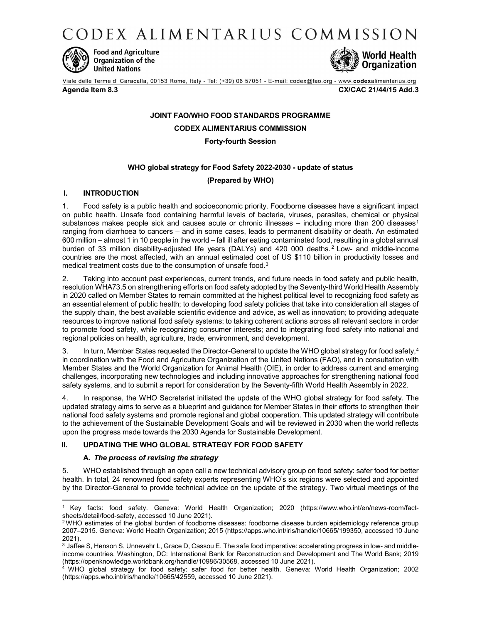CODEX ALIMENTARIUS COMMISSION



**Food and Agriculture Organization of the United Nations** 



Viale delle Terme di Caracalla, 00153 Rome, Italy - Tel: (+39) 06 57051 - E-mail: codex@fao.org - www.codexalimentarius.org

Agenda Item 8.3 CX/CAC 21/44/15 Add.3

### JOINT FAO/WHO FOOD STANDARDS PROGRAMME

CODEX ALIMENTARIUS COMMISSION

Forty-fourth Session

## WHO global strategy for Food Safety 2022-2030 - update of status

(Prepared by WHO)

## I. INTRODUCTION

1. Food safety is a public health and socioeconomic priority. Foodborne diseases have a significant impact on public health. Unsafe food containing harmful levels of bacteria, viruses, parasites, chemical or physical substances makes people sick and causes acute or chronic illnesses  $-$  including more than 200 diseases<sup>1</sup> ranging from diarrhoea to cancers – and in some cases, leads to permanent disability or death. An estimated 600 million – almost 1 in 10 people in the world – fall ill after eating contaminated food, resulting in a global annual burden of 33 million disability-adjusted life years (DALYs) and 420 000 deaths.<sup>2</sup> Low- and middle-income countries are the most affected, with an annual estimated cost of US \$110 billion in productivity losses and medical treatment costs due to the consumption of unsafe food.<sup>3</sup>

2. Taking into account past experiences, current trends, and future needs in food safety and public health, resolution WHA73.5 on strengthening efforts on food safety adopted by the Seventy-third World Health Assembly in 2020 called on Member States to remain committed at the highest political level to recognizing food safety as an essential element of public health; to developing food safety policies that take into consideration all stages of the supply chain, the best available scientific evidence and advice, as well as innovation; to providing adequate resources to improve national food safety systems; to taking coherent actions across all relevant sectors in order to promote food safety, while recognizing consumer interests; and to integrating food safety into national and regional policies on health, agriculture, trade, environment, and development.

3. In turn, Member States requested the Director-General to update the WHO global strategy for food safety, 4 in coordination with the Food and Agriculture Organization of the United Nations (FAO), and in consultation with Member States and the World Organization for Animal Health (OIE), in order to address current and emerging challenges, incorporating new technologies and including innovative approaches for strengthening national food safety systems, and to submit a report for consideration by the Seventy-fifth World Health Assembly in 2022.

In response, the WHO Secretariat initiated the update of the WHO global strategy for food safety. The updated strategy aims to serve as a blueprint and guidance for Member States in their efforts to strengthen their national food safety systems and promote regional and global cooperation. This updated strategy will contribute to the achievement of the Sustainable Development Goals and will be reviewed in 2030 when the world reflects upon the progress made towards the 2030 Agenda for Sustainable Development.

# II. UPDATING THE WHO GLOBAL STRATEGY FOR FOOD SAFETY

### A. The process of revising the strategy

5. WHO established through an open call a new technical advisory group on food safety: safer food for better health. In total, 24 renowned food safety experts representing WHO's six regions were selected and appointed by the Director-General to provide technical advice on the update of the strategy. Two virtual meetings of the

<sup>1</sup> Key facts: food safety. Geneva: World Health Organization; 2020 (https://www.who.int/en/news-room/factsheets/detail/food-safety, accessed 10 June 2021).

 $2$ WHO estimates of the global burden of foodborne diseases: foodborne disease burden epidemiology reference group 2007–2015. Geneva: World Health Organization; 2015 (https://apps.who.int/iris/handle/10665/199350, accessed 10 June 2021).

 $^3$  Jaffee S, Henson S, Unnevehr L, Grace D, Cassou E. The safe food imperative: accelerating progress in low- and middleincome countries. Washington, DC: International Bank for Reconstruction and Development and The World Bank; 2019 (https://openknowledge.worldbank.org/handle/10986/30568, accessed 10 June 2021). 4

WHO global strategy for food safety: safer food for better health. Geneva: World Health Organization; 2002 (https://apps.who.int/iris/handle/10665/42559, accessed 10 June 2021).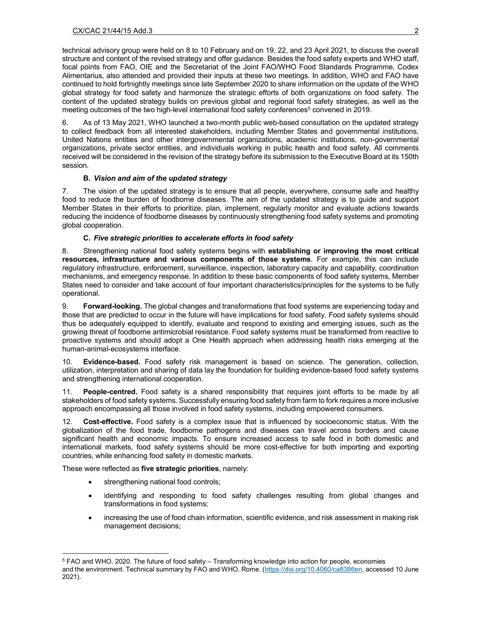technical advisory group were held on 8 to 10 February and on 19, 22, and 23 April 2021, to discuss the overall structure and content of the revised strategy and offer guidance. Besides the food safety experts and WHO staff, focal points from FAO, OIE and the Secretariat of the Joint FAO/WHO Food Standards Programme, Codex Alimentarius, also attended and provided their inputs at these two meetings. In addition, WHO and FAO have continued to hold fortnightly meetings since late September 2020 to share information on the update of the WHO global strategy for food safety and harmonize the strategic efforts of both organizations on food safety. The content of the updated strategy builds on previous global and regional food safety strategies, as well as the meeting outcomes of the two high-level international food safety conferences<sup>5</sup> convened in 2019.

6. As of 13 May 2021, WHO launched a two-month public web-based consultation on the updated strategy to collect feedback from all interested stakeholders, including Member States and governmental institutions, United Nations entities and other intergovernmental organizations, academic institutions, non-governmental organizations, private sector entities, and individuals working in public health and food safety. All comments received will be considered in the revision of the strategy before its submission to the Executive Board at its 150th session.

## B. Vision and aim of the updated strategy

7. The vision of the updated strategy is to ensure that all people, everywhere, consume safe and healthy food to reduce the burden of foodborne diseases. The aim of the updated strategy is to guide and support Member States in their efforts to prioritize, plan, implement, regularly monitor and evaluate actions towards reducing the incidence of foodborne diseases by continuously strengthening food safety systems and promoting global cooperation.

## C. Five strategic priorities to accelerate efforts in food safety

8. Strengthening national food safety systems begins with establishing or improving the most critical resources, infrastructure and various components of those systems. For example, this can include regulatory infrastructure, enforcement, surveillance, inspection, laboratory capacity and capability, coordination mechanisms, and emergency response. In addition to these basic components of food safety systems, Member States need to consider and take account of four important characteristics/principles for the systems to be fully operational.

9. Forward-looking. The global changes and transformations that food systems are experiencing today and those that are predicted to occur in the future will have implications for food safety. Food safety systems should thus be adequately equipped to identify, evaluate and respond to existing and emerging issues, such as the growing threat of foodborne antimicrobial resistance. Food safety systems must be transformed from reactive to proactive systems and should adopt a One Health approach when addressing health risks emerging at the human-animal-ecosystems interface.

10. Evidence-based. Food safety risk management is based on science. The generation, collection, utilization, interpretation and sharing of data lay the foundation for building evidence-based food safety systems and strengthening international cooperation.

11. People-centred. Food safety is a shared responsibility that requires joint efforts to be made by all stakeholders of food safety systems. Successfully ensuring food safety from farm to fork requires a more inclusive approach encompassing all those involved in food safety systems, including empowered consumers.

12. Cost-effective. Food safety is a complex issue that is influenced by socioeconomic status. With the globalization of the food trade, foodborne pathogens and diseases can travel across borders and cause significant health and economic impacts. To ensure increased access to safe food in both domestic and international markets, food safety systems should be more cost-effective for both importing and exporting countries, while enhancing food safety in domestic markets.

These were reflected as **five strategic priorities**, namely:

strengthening national food controls;

ł

- identifying and responding to food safety challenges resulting from global changes and transformations in food systems;
- increasing the use of food chain information, scientific evidence, and risk assessment in making risk management decisions;

<sup>5</sup> FAO and WHO. 2020. The future of food safety – Transforming knowledge into action for people, economies and the environment. Technical summary by FAO and WHO. Rome. (https://doi.org/10.4060/ca8386en, accessed 10 June 2021).